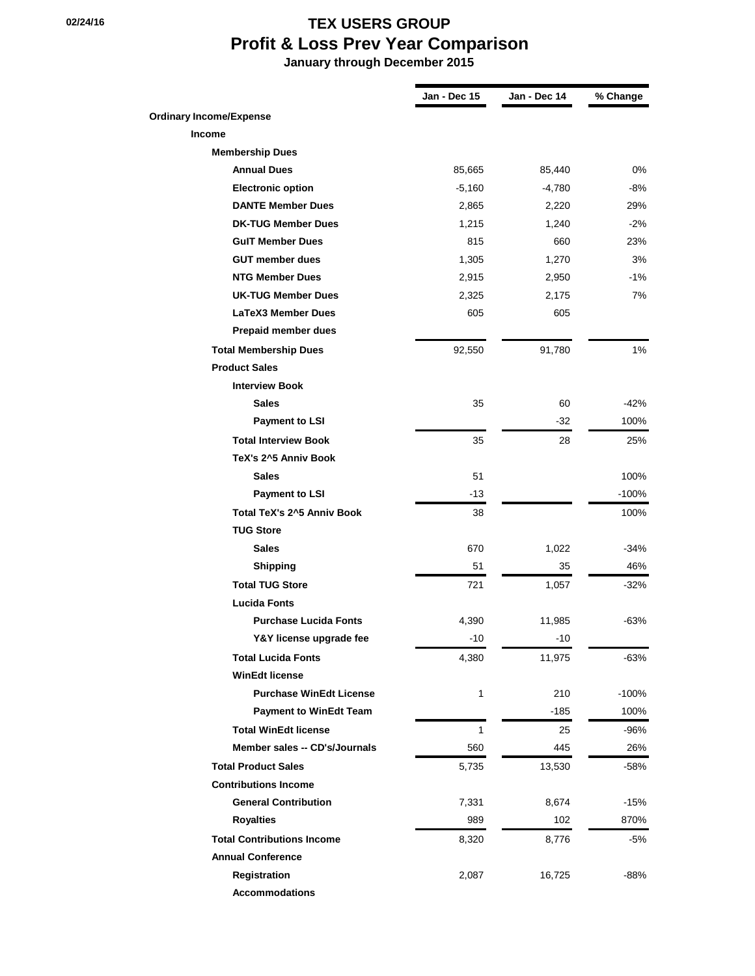## **02/24/16 02/24/16 TEX USERS GROUP Profit & Loss Prev Year Comparison January through December 2015**

|                                   | Jan - Dec 15 | Jan - Dec 14 | % Change |
|-----------------------------------|--------------|--------------|----------|
| <b>Ordinary Income/Expense</b>    |              |              |          |
| <b>Income</b>                     |              |              |          |
| <b>Membership Dues</b>            |              |              |          |
| <b>Annual Dues</b>                | 85,665       | 85,440       | 0%       |
| <b>Electronic option</b>          | $-5,160$     | $-4,780$     | -8%      |
| <b>DANTE Member Dues</b>          | 2,865        | 2,220        | 29%      |
| <b>DK-TUG Member Dues</b>         | 1,215        | 1,240        | $-2%$    |
| <b>GulT Member Dues</b>           | 815          | 660          | 23%      |
| <b>GUT member dues</b>            | 1,305        | 1,270        | 3%       |
| <b>NTG Member Dues</b>            | 2,915        | 2,950        | $-1\%$   |
| <b>UK-TUG Member Dues</b>         | 2,325        | 2,175        | 7%       |
| LaTeX3 Member Dues                | 605          | 605          |          |
| <b>Prepaid member dues</b>        |              |              |          |
| <b>Total Membership Dues</b>      | 92,550       | 91,780       | $1\%$    |
| <b>Product Sales</b>              |              |              |          |
| <b>Interview Book</b>             |              |              |          |
| <b>Sales</b>                      | 35           | 60           | -42%     |
| <b>Payment to LSI</b>             |              | -32          | 100%     |
| <b>Total Interview Book</b>       | 35           | 28           | 25%      |
| TeX's 2^5 Anniv Book              |              |              |          |
| <b>Sales</b>                      | 51           |              | 100%     |
| <b>Payment to LSI</b>             | -13          |              | $-100%$  |
| Total TeX's 2^5 Anniv Book        | 38           |              | 100%     |
| <b>TUG Store</b>                  |              |              |          |
| <b>Sales</b>                      | 670          | 1,022        | -34%     |
| <b>Shipping</b>                   | 51           | 35           | 46%      |
| <b>Total TUG Store</b>            | 721          | 1,057        | -32%     |
| <b>Lucida Fonts</b>               |              |              |          |
| <b>Purchase Lucida Fonts</b>      | 4,390        | 11,985       | -63%     |
| Y&Y license upgrade fee           | -10          | $-10$        |          |
| <b>Total Lucida Fonts</b>         | 4,380        | 11,975       | $-63%$   |
| <b>WinEdt license</b>             |              |              |          |
| <b>Purchase WinEdt License</b>    | $\mathbf{1}$ | 210          | $-100%$  |
| <b>Payment to WinEdt Team</b>     |              | $-185$       | 100%     |
| <b>Total WinEdt license</b>       | 1            | 25           | -96%     |
| Member sales -- CD's/Journals     | 560          | 445          | 26%      |
| <b>Total Product Sales</b>        | 5,735        | 13,530       | -58%     |
| <b>Contributions Income</b>       |              |              |          |
| <b>General Contribution</b>       | 7,331        | 8,674        | $-15%$   |
| <b>Royalties</b>                  | 989          | 102          | 870%     |
| <b>Total Contributions Income</b> | 8,320        | 8,776        | -5%      |
| <b>Annual Conference</b>          |              |              |          |
| Registration                      | 2,087        | 16,725       | -88%     |
| <b>Accommodations</b>             |              |              |          |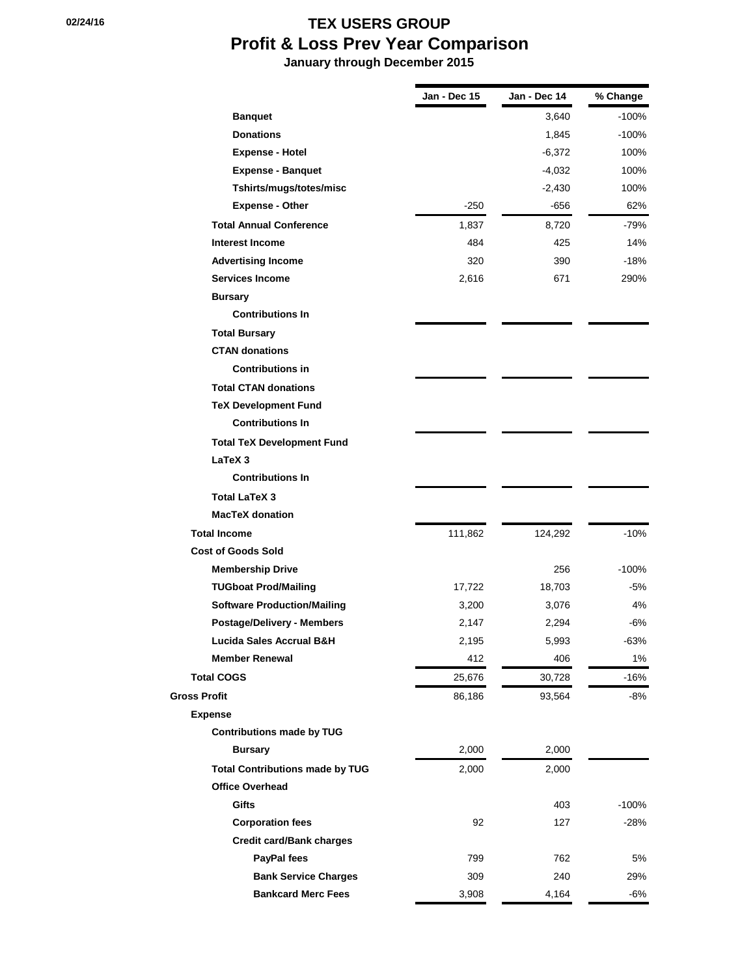## **02/24/16 02/24/16 TEX USERS GROUP Profit & Loss Prev Year Comparison**

 **January through December 2015**

|                                        | Jan - Dec 15 | Jan - Dec 14 | % Change |
|----------------------------------------|--------------|--------------|----------|
| <b>Banquet</b>                         |              | 3,640        | $-100%$  |
| <b>Donations</b>                       |              | 1,845        | $-100%$  |
| <b>Expense - Hotel</b>                 |              | -6,372       | 100%     |
| <b>Expense - Banquet</b>               |              | $-4,032$     | 100%     |
| Tshirts/mugs/totes/misc                |              | $-2,430$     | 100%     |
| <b>Expense - Other</b>                 | $-250$       | -656         | 62%      |
| <b>Total Annual Conference</b>         | 1,837        | 8,720        | -79%     |
| <b>Interest Income</b>                 | 484          | 425          | 14%      |
| <b>Advertising Income</b>              | 320          | 390          | $-18%$   |
| <b>Services Income</b>                 | 2,616        | 671          | 290%     |
| <b>Bursary</b>                         |              |              |          |
| <b>Contributions In</b>                |              |              |          |
| <b>Total Bursary</b>                   |              |              |          |
| <b>CTAN donations</b>                  |              |              |          |
| <b>Contributions in</b>                |              |              |          |
| <b>Total CTAN donations</b>            |              |              |          |
| <b>TeX Development Fund</b>            |              |              |          |
| <b>Contributions In</b>                |              |              |          |
| <b>Total TeX Development Fund</b>      |              |              |          |
| LaTeX 3                                |              |              |          |
| <b>Contributions In</b>                |              |              |          |
| <b>Total LaTeX 3</b>                   |              |              |          |
| <b>MacTeX donation</b>                 |              |              |          |
| <b>Total Income</b>                    | 111,862      | 124,292      | $-10%$   |
| <b>Cost of Goods Sold</b>              |              |              |          |
| <b>Membership Drive</b>                |              | 256          | $-100%$  |
| <b>TUGboat Prod/Mailing</b>            | 17,722       | 18,703       | -5%      |
| <b>Software Production/Mailing</b>     | 3,200        | 3,076        | 4%       |
| <b>Postage/Delivery - Members</b>      | 2,147        | 2,294        | -6%      |
| Lucida Sales Accrual B&H               | 2,195        | 5,993        | $-63%$   |
| <b>Member Renewal</b>                  | 412          | 406          | 1%       |
| <b>Total COGS</b>                      | 25,676       | 30,728       | $-16%$   |
| <b>Gross Profit</b>                    | 86,186       | 93,564       | $-8%$    |
| <b>Expense</b>                         |              |              |          |
| <b>Contributions made by TUG</b>       |              |              |          |
| <b>Bursary</b>                         | 2,000        | 2,000        |          |
| <b>Total Contributions made by TUG</b> | 2,000        | 2,000        |          |
| <b>Office Overhead</b>                 |              |              |          |
| Gifts                                  |              | 403          | $-100%$  |
| <b>Corporation fees</b>                | 92           | 127          | $-28%$   |
| <b>Credit card/Bank charges</b>        |              |              |          |
| PayPal fees                            | 799          | 762          | 5%       |
| <b>Bank Service Charges</b>            | 309          | 240          | 29%      |
| <b>Bankcard Merc Fees</b>              | 3,908        | 4,164        | $-6%$    |